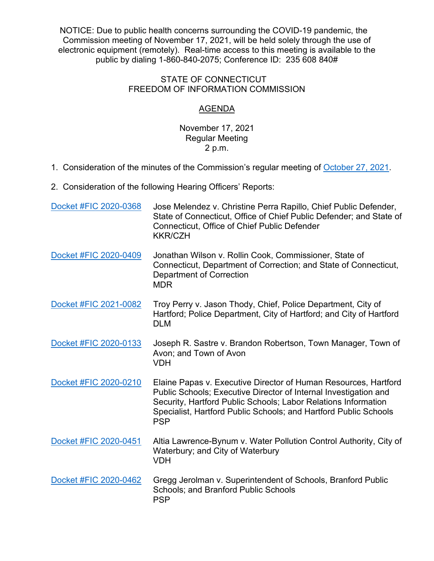NOTICE: Due to public health concerns surrounding the COVID-19 pandemic, the Commission meeting of November 17, 2021, will be held solely through the use of electronic equipment (remotely). Real-time access to this meeting is available to the public by dialing 1-860-840-2075; Conference ID: 235 608 840#

## STATE OF CONNECTICUT FREEDOM OF INFORMATION COMMISSION

## AGENDA

## November 17, 2021 Regular Meeting 2 p.m.

- 1. Consideration of the minutes of the Commission's regular meeting of [October 27, 2021.](https://portal.ct.gov/-/media/FOI/Minutes/2021/Minutes-10-27-2021b.pdf)
- 2. Consideration of the following Hearing Officers' Reports:

| Docket #FIC 2020-0368 | Jose Melendez v. Christine Perra Rapillo, Chief Public Defender,<br>State of Connecticut, Office of Chief Public Defender; and State of<br><b>Connecticut, Office of Chief Public Defender</b><br><b>KKR/CZH</b>                                                                        |
|-----------------------|-----------------------------------------------------------------------------------------------------------------------------------------------------------------------------------------------------------------------------------------------------------------------------------------|
| Docket #FIC 2020-0409 | Jonathan Wilson v. Rollin Cook, Commissioner, State of<br>Connecticut, Department of Correction; and State of Connecticut,<br><b>Department of Correction</b><br><b>MDR</b>                                                                                                             |
| Docket #FIC 2021-0082 | Troy Perry v. Jason Thody, Chief, Police Department, City of<br>Hartford; Police Department, City of Hartford; and City of Hartford<br><b>DLM</b>                                                                                                                                       |
| Docket #FIC 2020-0133 | Joseph R. Sastre v. Brandon Robertson, Town Manager, Town of<br>Avon; and Town of Avon<br><b>VDH</b>                                                                                                                                                                                    |
| Docket #FIC 2020-0210 | Elaine Papas v. Executive Director of Human Resources, Hartford<br>Public Schools; Executive Director of Internal Investigation and<br>Security, Hartford Public Schools; Labor Relations Information<br>Specialist, Hartford Public Schools; and Hartford Public Schools<br><b>PSP</b> |
| Docket #FIC 2020-0451 | Altia Lawrence-Bynum v. Water Pollution Control Authority, City of<br>Waterbury; and City of Waterbury<br><b>VDH</b>                                                                                                                                                                    |
| Docket #FIC 2020-0462 | Gregg Jerolman v. Superintendent of Schools, Branford Public<br><b>Schools; and Branford Public Schools</b><br><b>PSP</b>                                                                                                                                                               |